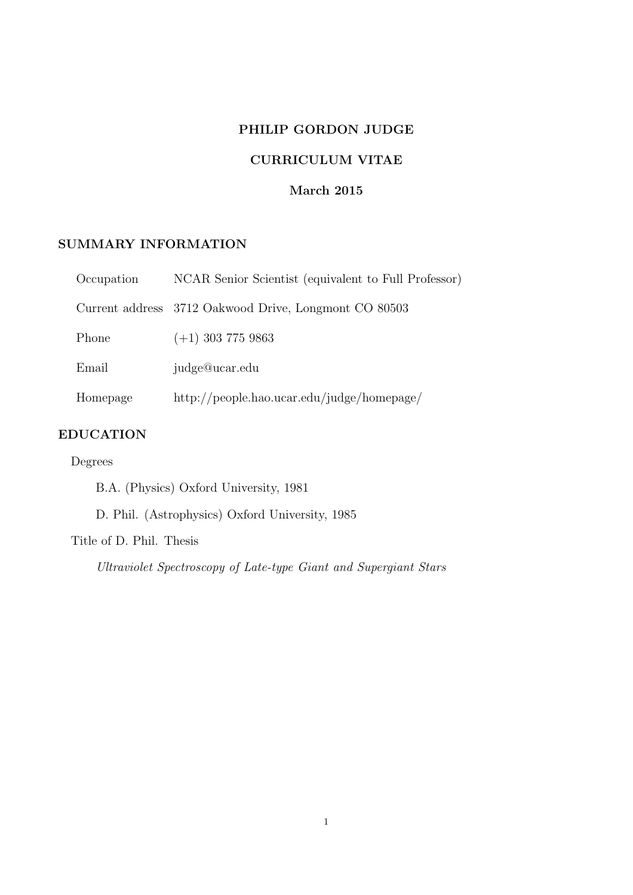# PHILIP GORDON JUDGE

# CURRICULUM VITAE

# March 2015

# SUMMARY INFORMATION

| Occupation | NCAR Senior Scientist (equivalent to Full Professor)  |
|------------|-------------------------------------------------------|
|            | Current address 3712 Oakwood Drive, Longmont CO 80503 |
| Phone      | $(+1)$ 303 775 9863                                   |
| Email      | judge@ucar.edu                                        |
| Homepage   | $\frac{http://people.hao.ucar.edu/judge/homepage/$    |

# EDUCATION

# Degrees

B.A. (Physics) Oxford University, 1981

D. Phil. (Astrophysics) Oxford University, 1985

Title of D. Phil. Thesis

*Ultraviolet Spectroscopy of Late-type Giant and Supergiant Stars*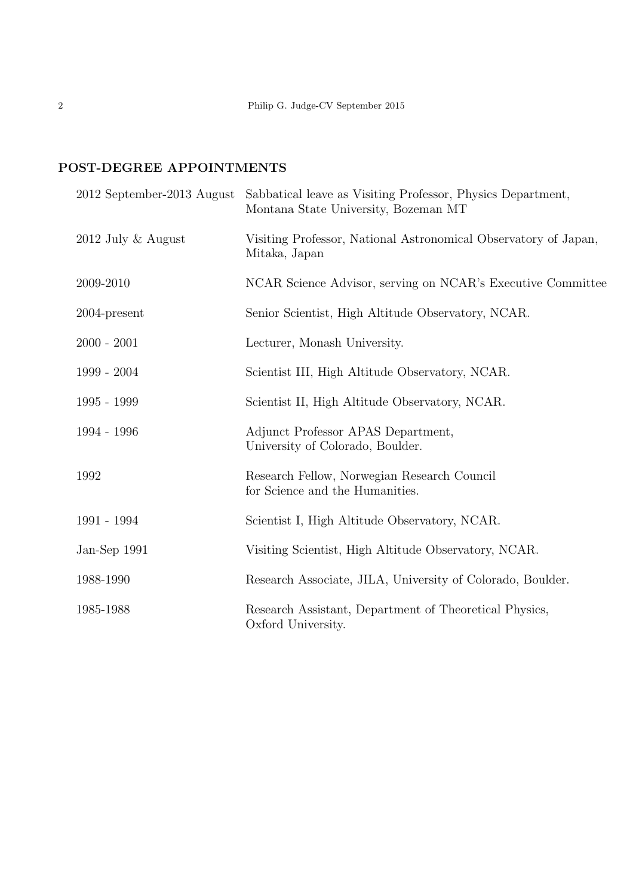# POST-DEGREE APPOINTMENTS

|                      | 2012 September-2013 August Sabbatical leave as Visiting Professor, Physics Department,<br>Montana State University, Bozeman MT |
|----------------------|--------------------------------------------------------------------------------------------------------------------------------|
| $2012$ July & August | Visiting Professor, National Astronomical Observatory of Japan,<br>Mitaka, Japan                                               |
| 2009-2010            | NCAR Science Advisor, serving on NCAR's Executive Committee                                                                    |
| $2004$ -present      | Senior Scientist, High Altitude Observatory, NCAR.                                                                             |
| $2000 - 2001$        | Lecturer, Monash University.                                                                                                   |
| $1999 - 2004$        | Scientist III, High Altitude Observatory, NCAR.                                                                                |
| $1995 - 1999$        | Scientist II, High Altitude Observatory, NCAR.                                                                                 |
| 1994 - 1996          | Adjunct Professor APAS Department,<br>University of Colorado, Boulder.                                                         |
| 1992                 | Research Fellow, Norwegian Research Council<br>for Science and the Humanities.                                                 |
| 1991 - 1994          | Scientist I, High Altitude Observatory, NCAR.                                                                                  |
| Jan-Sep 1991         | Visiting Scientist, High Altitude Observatory, NCAR.                                                                           |
| 1988-1990            | Research Associate, JILA, University of Colorado, Boulder.                                                                     |
| 1985-1988            | Research Assistant, Department of Theoretical Physics,<br>Oxford University.                                                   |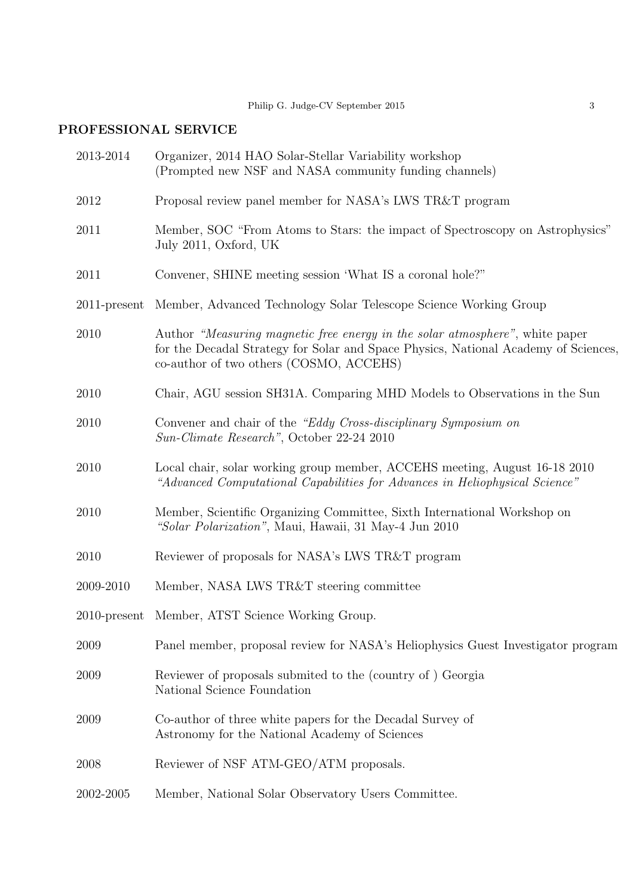# PROFESSIONAL SERVICE

| 2013-2014       | Organizer, 2014 HAO Solar-Stellar Variability workshop<br>(Prompted new NSF and NASA community funding channels)                                                                                               |  |
|-----------------|----------------------------------------------------------------------------------------------------------------------------------------------------------------------------------------------------------------|--|
| 2012            | Proposal review panel member for NASA's LWS TR&T program                                                                                                                                                       |  |
| 2011            | Member, SOC "From Atoms to Stars: the impact of Spectroscopy on Astrophysics"<br>July 2011, Oxford, UK                                                                                                         |  |
| 2011            | Convener, SHINE meeting session 'What IS a coronal hole?"                                                                                                                                                      |  |
| $2011$ -present | Member, Advanced Technology Solar Telescope Science Working Group                                                                                                                                              |  |
| 2010            | Author "Measuring magnetic free energy in the solar atmosphere", white paper<br>for the Decadal Strategy for Solar and Space Physics, National Academy of Sciences,<br>co-author of two others (COSMO, ACCEHS) |  |
| 2010            | Chair, AGU session SH31A. Comparing MHD Models to Observations in the Sun                                                                                                                                      |  |
| 2010            | Convener and chair of the "Eddy Cross-disciplinary Symposium on<br>Sun-Climate Research", October 22-24 2010                                                                                                   |  |
| 2010            | Local chair, solar working group member, ACCEHS meeting, August 16-18 2010<br>"Advanced Computational Capabilities for Advances in Heliophysical Science"                                                      |  |
| 2010            | Member, Scientific Organizing Committee, Sixth International Workshop on<br>"Solar Polarization", Maui, Hawaii, 31 May-4 Jun 2010                                                                              |  |
| 2010            | Reviewer of proposals for NASA's LWS TR&T program                                                                                                                                                              |  |
| 2009-2010       | Member, NASA LWS TR&T steering committee                                                                                                                                                                       |  |
|                 | 2010-present Member, ATST Science Working Group.                                                                                                                                                               |  |
| 2009            | Panel member, proposal review for NASA's Heliophysics Guest Investigator program                                                                                                                               |  |
| 2009            | Reviewer of proposals submited to the (country of) Georgia<br>National Science Foundation                                                                                                                      |  |
| 2009            | Co-author of three white papers for the Decadal Survey of<br>Astronomy for the National Academy of Sciences                                                                                                    |  |
| 2008            | Reviewer of NSF ATM-GEO/ATM proposals.                                                                                                                                                                         |  |
| 2002-2005       | Member, National Solar Observatory Users Committee.                                                                                                                                                            |  |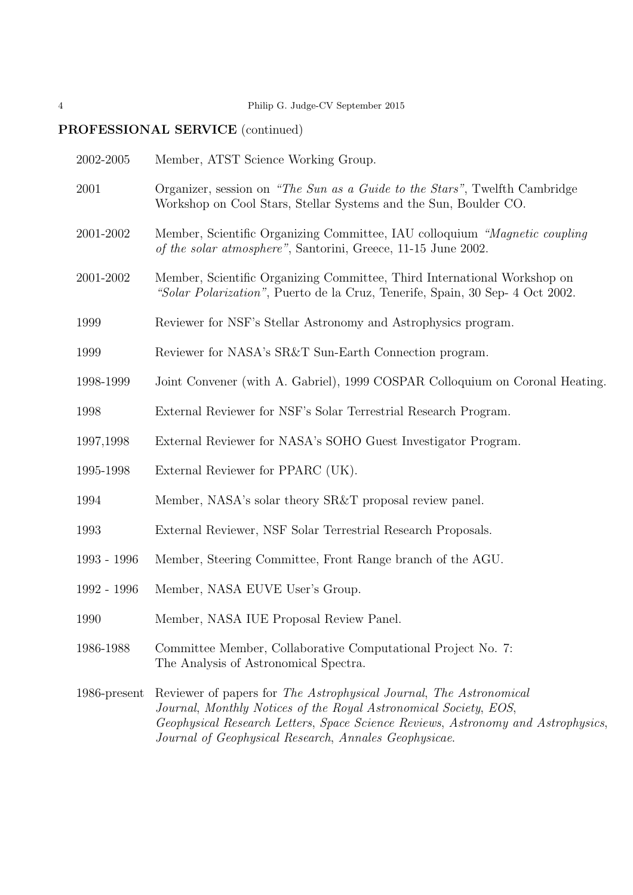# PROFESSIONAL SERVICE (continued)

| 2002-2005       | Member, ATST Science Working Group.                                                                                                                                                                                                                                                 |  |
|-----------------|-------------------------------------------------------------------------------------------------------------------------------------------------------------------------------------------------------------------------------------------------------------------------------------|--|
| 2001            | Organizer, session on "The Sun as a Guide to the Stars", Twelfth Cambridge<br>Workshop on Cool Stars, Stellar Systems and the Sun, Boulder CO.                                                                                                                                      |  |
| 2001-2002       | Member, Scientific Organizing Committee, IAU colloquium "Magnetic coupling"<br>of the solar atmosphere", Santorini, Greece, 11-15 June 2002.                                                                                                                                        |  |
| 2001-2002       | Member, Scientific Organizing Committee, Third International Workshop on<br>"Solar Polarization", Puerto de la Cruz, Tenerife, Spain, 30 Sep- 4 Oct 2002.                                                                                                                           |  |
| 1999            | Reviewer for NSF's Stellar Astronomy and Astrophysics program.                                                                                                                                                                                                                      |  |
| 1999            | Reviewer for NASA's SR&T Sun-Earth Connection program.                                                                                                                                                                                                                              |  |
| 1998-1999       | Joint Convener (with A. Gabriel), 1999 COSPAR Colloquium on Coronal Heating.                                                                                                                                                                                                        |  |
| 1998            | External Reviewer for NSF's Solar Terrestrial Research Program.                                                                                                                                                                                                                     |  |
| 1997,1998       | External Reviewer for NASA's SOHO Guest Investigator Program.                                                                                                                                                                                                                       |  |
| 1995-1998       | External Reviewer for PPARC (UK).                                                                                                                                                                                                                                                   |  |
| 1994            | Member, NASA's solar theory SR&T proposal review panel.                                                                                                                                                                                                                             |  |
| 1993            | External Reviewer, NSF Solar Terrestrial Research Proposals.                                                                                                                                                                                                                        |  |
| 1993 - 1996     | Member, Steering Committee, Front Range branch of the AGU.                                                                                                                                                                                                                          |  |
| 1992 - 1996     | Member, NASA EUVE User's Group.                                                                                                                                                                                                                                                     |  |
| 1990            | Member, NASA IUE Proposal Review Panel.                                                                                                                                                                                                                                             |  |
| 1986-1988       | Committee Member, Collaborative Computational Project No. 7:<br>The Analysis of Astronomical Spectra.                                                                                                                                                                               |  |
| $1986$ -present | Reviewer of papers for The Astrophysical Journal, The Astronomical<br>Journal, Monthly Notices of the Royal Astronomical Society, EOS,<br>Geophysical Research Letters, Space Science Reviews, Astronomy and Astrophysics,<br>Journal of Geophysical Research, Annales Geophysicae. |  |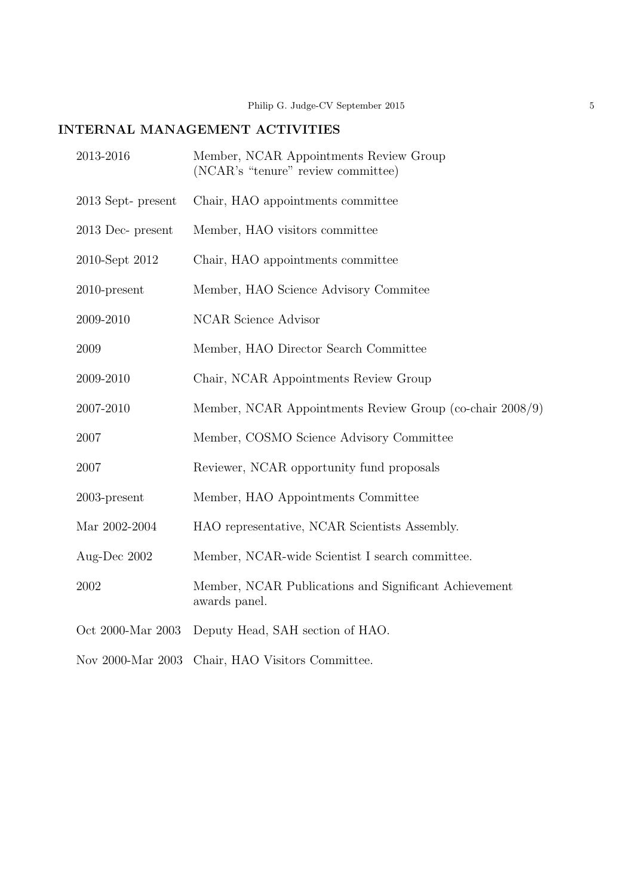# INTERNAL MANAGEMENT ACTIVITIES

| 2013-2016           | Member, NCAR Appointments Review Group<br>(NCAR's "tenure" review committee) |
|---------------------|------------------------------------------------------------------------------|
| 2013 Sept- present  | Chair, HAO appointments committee                                            |
| $2013$ Dec- present | Member, HAO visitors committee                                               |
| 2010-Sept 2012      | Chair, HAO appointments committee                                            |
| $2010$ -present     | Member, HAO Science Advisory Commitee                                        |
| 2009-2010           | <b>NCAR</b> Science Advisor                                                  |
| 2009                | Member, HAO Director Search Committee                                        |
| 2009-2010           | Chair, NCAR Appointments Review Group                                        |
| 2007-2010           | Member, NCAR Appointments Review Group (co-chair 2008/9)                     |
| 2007                | Member, COSMO Science Advisory Committee                                     |
| 2007                | Reviewer, NCAR opportunity fund proposals                                    |
| $2003$ -present     | Member, HAO Appointments Committee                                           |
| Mar 2002-2004       | HAO representative, NCAR Scientists Assembly.                                |
| Aug-Dec 2002        | Member, NCAR-wide Scientist I search committee.                              |
| 2002                | Member, NCAR Publications and Significant Achievement<br>awards panel.       |
| Oct 2000-Mar 2003   | Deputy Head, SAH section of HAO.                                             |
| Nov 2000-Mar 2003   | Chair, HAO Visitors Committee.                                               |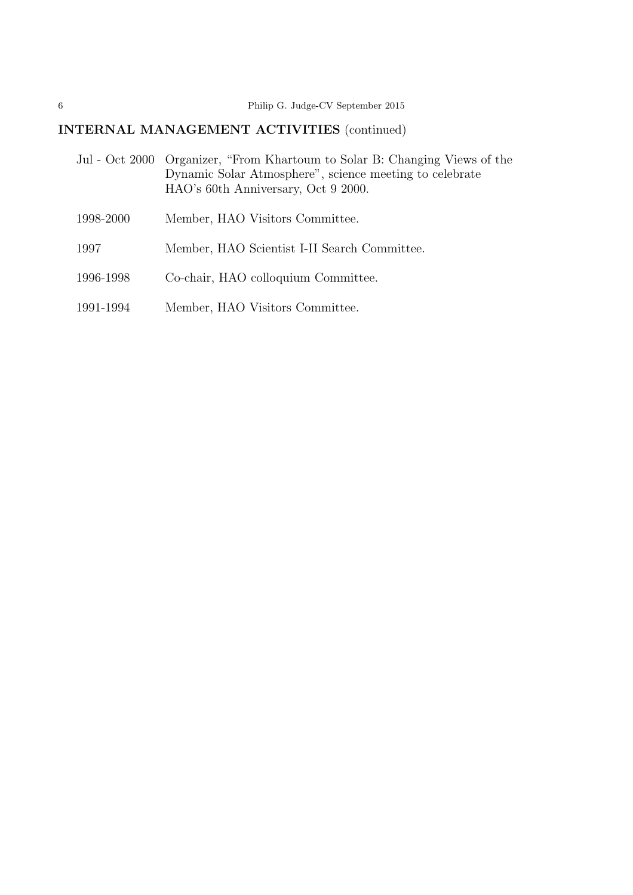# INTERNAL MANAGEMENT ACTIVITIES (continued)

|           | Jul - Oct 2000 Organizer, "From Khartoum to Solar B: Changing Views of the<br>Dynamic Solar Atmosphere", science meeting to celebrate<br>HAO's 60th Anniversary, Oct 9 2000. |
|-----------|------------------------------------------------------------------------------------------------------------------------------------------------------------------------------|
| 1998-2000 | Member, HAO Visitors Committee.                                                                                                                                              |
| 1997      | Member, HAO Scientist I-II Search Committee.                                                                                                                                 |
| 1996-1998 | Co-chair, HAO colloquium Committee.                                                                                                                                          |
| 1991-1994 | Member, HAO Visitors Committee.                                                                                                                                              |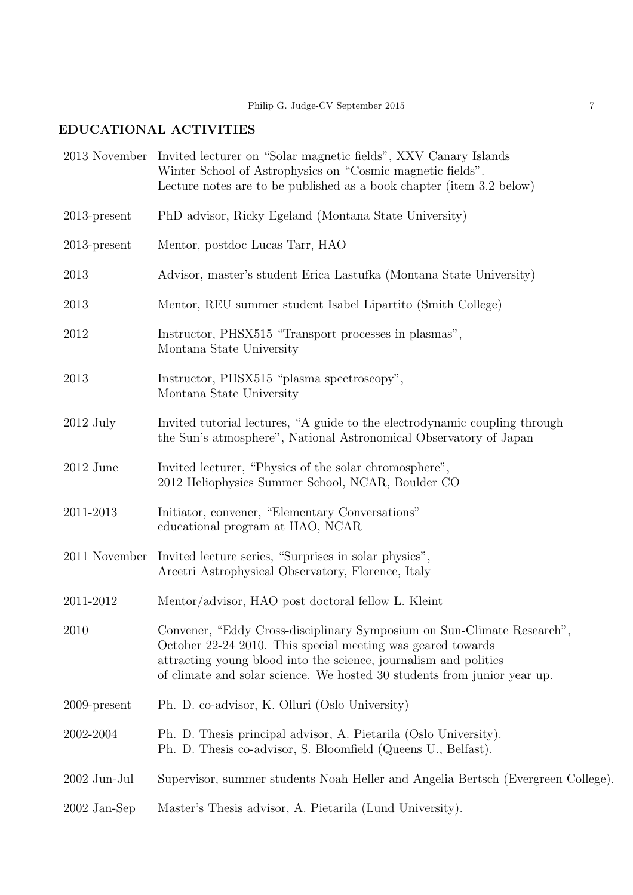# EDUCATIONAL ACTIVITIES

|                 | 2013 November Invited lecturer on "Solar magnetic fields", XXV Canary Islands<br>Winter School of Astrophysics on "Cosmic magnetic fields".<br>Lecture notes are to be published as a book chapter (item 3.2 below)                                                                   |
|-----------------|---------------------------------------------------------------------------------------------------------------------------------------------------------------------------------------------------------------------------------------------------------------------------------------|
| $2013$ -present | PhD advisor, Ricky Egeland (Montana State University)                                                                                                                                                                                                                                 |
| $2013$ -present | Mentor, postdoc Lucas Tarr, HAO                                                                                                                                                                                                                                                       |
| 2013            | Advisor, master's student Erica Lastufka (Montana State University)                                                                                                                                                                                                                   |
| 2013            | Mentor, REU summer student Isabel Lipartito (Smith College)                                                                                                                                                                                                                           |
| 2012            | Instructor, PHSX515 "Transport processes in plasmas",<br>Montana State University                                                                                                                                                                                                     |
| 2013            | Instructor, PHSX515 "plasma spectroscopy",<br>Montana State University                                                                                                                                                                                                                |
| $2012$ July     | Invited tutorial lectures, "A guide to the electrodynamic coupling through<br>the Sun's atmosphere", National Astronomical Observatory of Japan                                                                                                                                       |
| $2012$ June     | Invited lecturer, "Physics of the solar chromosphere",<br>2012 Heliophysics Summer School, NCAR, Boulder CO                                                                                                                                                                           |
| 2011-2013       | Initiator, convener, "Elementary Conversations"<br>educational program at HAO, NCAR                                                                                                                                                                                                   |
| 2011 November   | Invited lecture series, "Surprises in solar physics",<br>Arcetri Astrophysical Observatory, Florence, Italy                                                                                                                                                                           |
| 2011-2012       | Mentor/advisor, HAO post doctoral fellow L. Kleint                                                                                                                                                                                                                                    |
| 2010            | Convener, "Eddy Cross-disciplinary Symposium on Sun-Climate Research",<br>October 22-24 2010. This special meeting was geared towards<br>attracting young blood into the science, journalism and politics<br>of climate and solar science. We hosted 30 students from junior year up. |
| $2009$ -present | Ph. D. co-advisor, K. Olluri (Oslo University)                                                                                                                                                                                                                                        |
| 2002-2004       | Ph. D. Thesis principal advisor, A. Pietarila (Oslo University).<br>Ph. D. Thesis co-advisor, S. Bloomfield (Queens U., Belfast).                                                                                                                                                     |
| 2002 Jun-Jul    | Supervisor, summer students Noah Heller and Angelia Bertsch (Evergreen College).                                                                                                                                                                                                      |
| $2002$ Jan-Sep  | Master's Thesis advisor, A. Pietarila (Lund University).                                                                                                                                                                                                                              |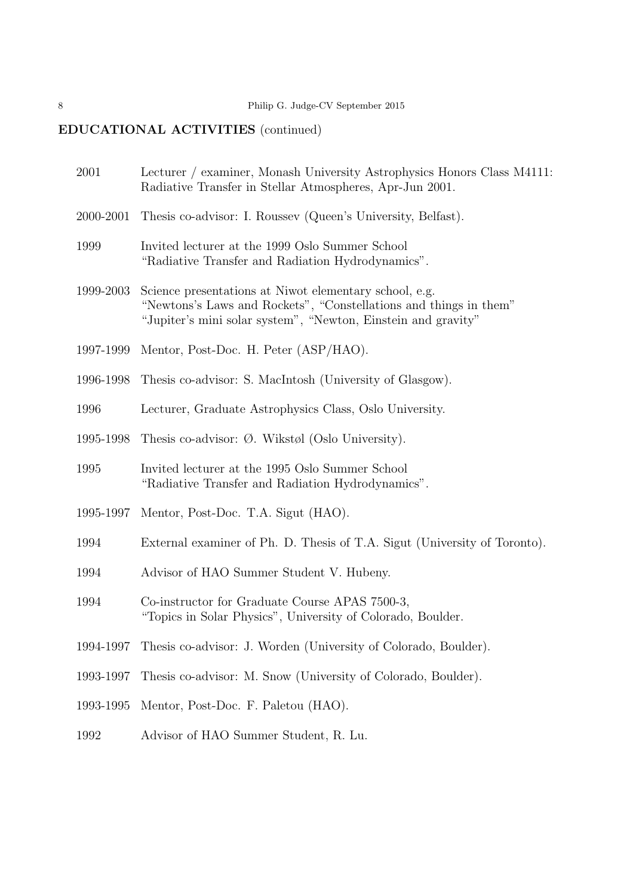# EDUCATIONAL ACTIVITIES (continued)

| 2001      | Lecturer / examiner, Monash University Astrophysics Honors Class M4111:<br>Radiative Transfer in Stellar Atmospheres, Apr-Jun 2001.                                                          |  |
|-----------|----------------------------------------------------------------------------------------------------------------------------------------------------------------------------------------------|--|
| 2000-2001 | Thesis co-advisor: I. Roussev (Queen's University, Belfast).                                                                                                                                 |  |
| 1999      | Invited lecturer at the 1999 Oslo Summer School<br>"Radiative Transfer and Radiation Hydrodynamics".                                                                                         |  |
| 1999-2003 | Science presentations at Niwot elementary school, e.g.<br>"Newtons's Laws and Rockets", "Constellations and things in them"<br>"Jupiter's mini solar system", "Newton, Einstein and gravity" |  |
| 1997-1999 | Mentor, Post-Doc. H. Peter (ASP/HAO).                                                                                                                                                        |  |
| 1996-1998 | Thesis co-advisor: S. MacIntosh (University of Glasgow).                                                                                                                                     |  |
| 1996      | Lecturer, Graduate Astrophysics Class, Oslo University.                                                                                                                                      |  |
| 1995-1998 | Thesis co-advisor: $\emptyset$ . Wikstøl (Oslo University).                                                                                                                                  |  |
| 1995      | Invited lecturer at the 1995 Oslo Summer School<br>"Radiative Transfer and Radiation Hydrodynamics".                                                                                         |  |
| 1995-1997 | Mentor, Post-Doc. T.A. Sigut (HAO).                                                                                                                                                          |  |
| 1994      | External examiner of Ph. D. Thesis of T.A. Sigut (University of Toronto).                                                                                                                    |  |
| 1994      | Advisor of HAO Summer Student V. Hubeny.                                                                                                                                                     |  |
| 1994      | Co-instructor for Graduate Course APAS 7500-3,<br>"Topics in Solar Physics", University of Colorado, Boulder.                                                                                |  |
| 1994-1997 | Thesis co-advisor: J. Worden (University of Colorado, Boulder).                                                                                                                              |  |
| 1993-1997 | Thesis co-advisor: M. Snow (University of Colorado, Boulder).                                                                                                                                |  |
| 1993-1995 | Mentor, Post-Doc. F. Paletou (HAO).                                                                                                                                                          |  |
| 1992      | Advisor of HAO Summer Student, R. Lu.                                                                                                                                                        |  |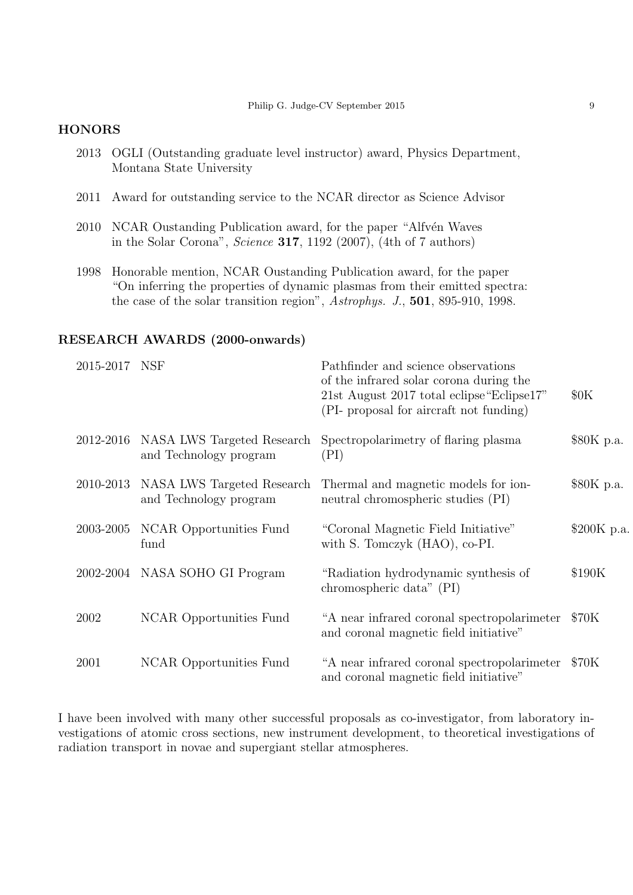#### Philip G. Judge-CV September 2015 9

## **HONORS**

- 2013 OGLI (Outstanding graduate level instructor) award, Physics Department, Montana State University
- 2011 Award for outstanding service to the NCAR director as Science Advisor
- 2010 NCAR Oustanding Publication award, for the paper "Alfvén Waves" in the Solar Corona", *Science* 317, 1192 (2007), (4th of 7 authors)
- 1998 Honorable mention, NCAR Oustanding Publication award, for the paper "On inferring the properties of dynamic plasmas from their emitted spectra: the case of the solar transition region", *Astrophys. J.*, 501, 895-910, 1998.

#### RESEARCH AWARDS (2000-onwards)

| 2015-2017 NSF |                                                                | Pathfinder and science observations<br>of the infrared solar corona during the<br>21st August 2017 total eclipse "Eclipse17"<br>(PI- proposal for aircraft not funding) | 60K          |
|---------------|----------------------------------------------------------------|-------------------------------------------------------------------------------------------------------------------------------------------------------------------------|--------------|
|               | 2012-2016 NASA LWS Targeted Research<br>and Technology program | Spectropolarimetry of flaring plasma<br>(PI)                                                                                                                            | \$80K p.a.   |
|               | 2010-2013 NASA LWS Targeted Research<br>and Technology program | Thermal and magnetic models for ion-<br>neutral chromospheric studies (PI)                                                                                              | \$80K p.a.   |
| 2003-2005     | NCAR Opportunities Fund<br>fund                                | "Coronal Magnetic Field Initiative"<br>with S. Tomczyk (HAO), co-PI.                                                                                                    | $$200K$ p.a. |
|               | 2002-2004 NASA SOHO GI Program                                 | "Radiation hydrodynamic synthesis of<br>chromospheric data" (PI)                                                                                                        | \$190K       |
| 2002          | NCAR Opportunities Fund                                        | "A near infrared coronal spectropolarimeter<br>and coronal magnetic field initiative"                                                                                   | \$70K        |
| 2001          | NCAR Opportunities Fund                                        | "A near infrared coronal spectropolarimeter<br>and coronal magnetic field initiative"                                                                                   | \$70K        |

I have been involved with many other successful proposals as co-investigator, from laboratory investigations of atomic cross sections, new instrument development, to theoretical investigations of radiation transport in novae and supergiant stellar atmospheres.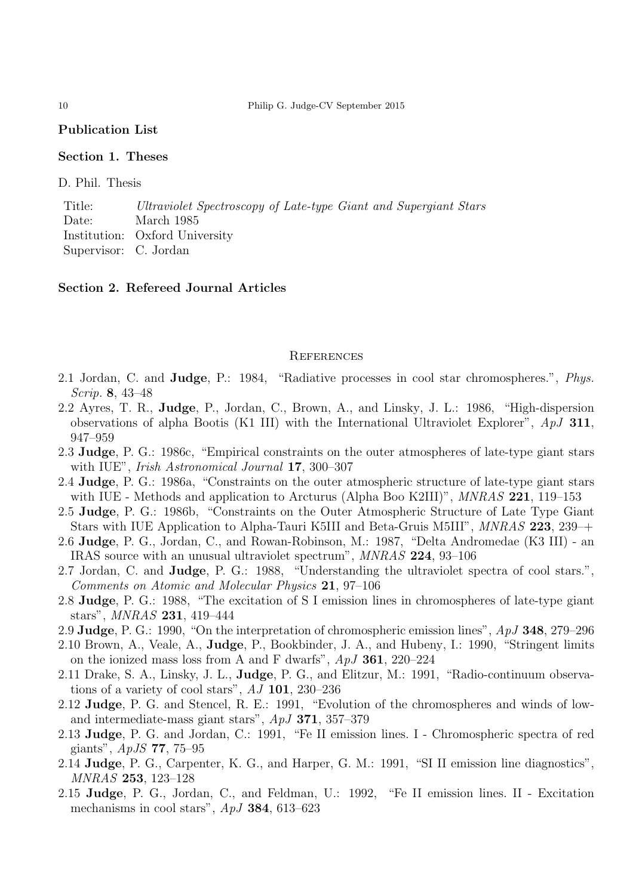#### Publication List

### Section 1. Theses

D. Phil. Thesis

Title: *Ultraviolet Spectroscopy of Late-type Giant and Supergiant Stars* Date: March 1985 Institution: Oxford University Supervisor: C. Jordan

#### Section 2. Refereed Journal Articles

#### **REFERENCES**

- 2.1 Jordan, C. and Judge, P.: 1984, "Radiative processes in cool star chromospheres.", *Phys. Scrip.* 8, 43–48
- 2.2 Ayres, T. R., Judge, P., Jordan, C., Brown, A., and Linsky, J. L.: 1986, "High-dispersion observations of alpha Bootis (K1 III) with the International Ultraviolet Explorer", *ApJ* 311, 947–959
- 2.3 Judge, P. G.: 1986c, "Empirical constraints on the outer atmospheres of late-type giant stars with IUE", *Irish Astronomical Journal* 17, 300–307
- 2.4 Judge, P. G.: 1986a, "Constraints on the outer atmospheric structure of late-type giant stars with IUE - Methods and application to Arcturus (Alpha Boo K2III)", *MNRAS* 221, 119–153
- 2.5 Judge, P. G.: 1986b, "Constraints on the Outer Atmospheric Structure of Late Type Giant Stars with IUE Application to Alpha-Tauri K5III and Beta-Gruis M5III", *MNRAS* 223, 239–+
- 2.6 Judge, P. G., Jordan, C., and Rowan-Robinson, M.: 1987, "Delta Andromedae (K3 III) an IRAS source with an unusual ultraviolet spectrum", *MNRAS* 224, 93–106
- 2.7 Jordan, C. and Judge, P. G.: 1988, "Understanding the ultraviolet spectra of cool stars.", *Comments on Atomic and Molecular Physics* 21, 97–106
- 2.8 Judge, P. G.: 1988, "The excitation of S I emission lines in chromospheres of late-type giant stars", *MNRAS* 231, 419–444
- 2.9 Judge, P. G.: 1990, "On the interpretation of chromospheric emission lines", *ApJ* 348, 279–296
- 2.10 Brown, A., Veale, A., Judge, P., Bookbinder, J. A., and Hubeny, I.: 1990, "Stringent limits on the ionized mass loss from A and F dwarfs", *ApJ* 361, 220–224
- 2.11 Drake, S. A., Linsky, J. L., Judge, P. G., and Elitzur, M.: 1991, "Radio-continuum observations of a variety of cool stars", *AJ* 101, 230–236
- 2.12 Judge, P. G. and Stencel, R. E.: 1991, "Evolution of the chromospheres and winds of lowand intermediate-mass giant stars", *ApJ* 371, 357–379
- 2.13 Judge, P. G. and Jordan, C.: 1991, "Fe II emission lines. I Chromospheric spectra of red giants", *ApJS* 77, 75–95
- 2.14 Judge, P. G., Carpenter, K. G., and Harper, G. M.: 1991, "SI II emission line diagnostics", *MNRAS* 253, 123–128
- 2.15 Judge, P. G., Jordan, C., and Feldman, U.: 1992, "Fe II emission lines. II Excitation mechanisms in cool stars", *ApJ* 384, 613–623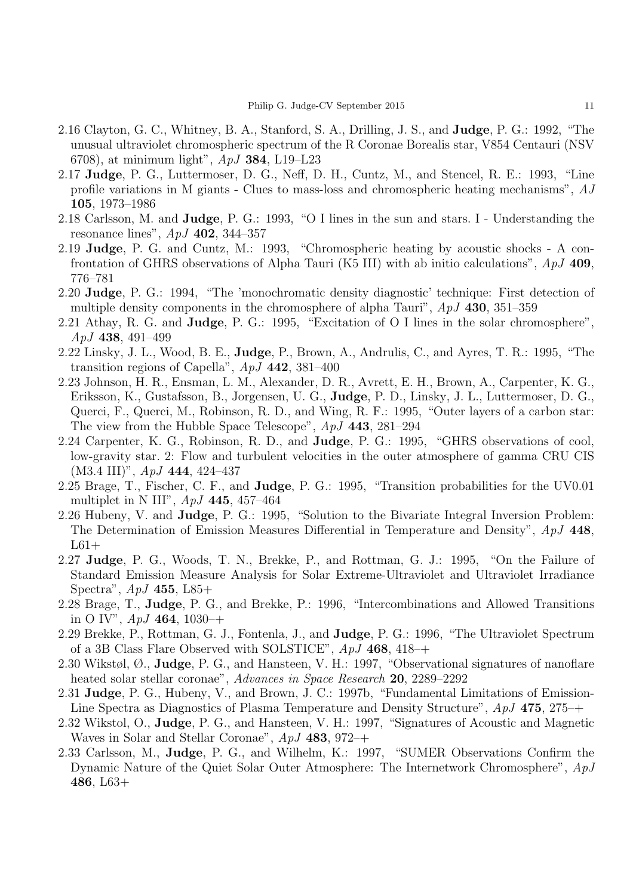- 2.16 Clayton, G. C., Whitney, B. A., Stanford, S. A., Drilling, J. S., and Judge, P. G.: 1992, "The unusual ultraviolet chromospheric spectrum of the R Coronae Borealis star, V854 Centauri (NSV 6708), at minimum light", *ApJ* 384, L19–L23
- 2.17 Judge, P. G., Luttermoser, D. G., Neff, D. H., Cuntz, M., and Stencel, R. E.: 1993, "Line profile variations in M giants - Clues to mass-loss and chromospheric heating mechanisms", *AJ* 105, 1973–1986
- 2.18 Carlsson, M. and Judge, P. G.: 1993, "O I lines in the sun and stars. I Understanding the resonance lines", *ApJ* 402, 344–357
- 2.19 Judge, P. G. and Cuntz, M.: 1993, "Chromospheric heating by acoustic shocks A confrontation of GHRS observations of Alpha Tauri (K5 III) with ab initio calculations", *ApJ* 409, 776–781
- 2.20 Judge, P. G.: 1994, "The 'monochromatic density diagnostic' technique: First detection of multiple density components in the chromosphere of alpha Tauri", *ApJ* 430, 351–359
- 2.21 Athay, R. G. and Judge, P. G.: 1995, "Excitation of O I lines in the solar chromosphere", *ApJ* 438, 491–499
- 2.22 Linsky, J. L., Wood, B. E., Judge, P., Brown, A., Andrulis, C., and Ayres, T. R.: 1995, "The transition regions of Capella", *ApJ* 442, 381–400
- 2.23 Johnson, H. R., Ensman, L. M., Alexander, D. R., Avrett, E. H., Brown, A., Carpenter, K. G., Eriksson, K., Gustafsson, B., Jorgensen, U. G., Judge, P. D., Linsky, J. L., Luttermoser, D. G., Querci, F., Querci, M., Robinson, R. D., and Wing, R. F.: 1995, "Outer layers of a carbon star: The view from the Hubble Space Telescope", *ApJ* 443, 281–294
- 2.24 Carpenter, K. G., Robinson, R. D., and Judge, P. G.: 1995, "GHRS observations of cool, low-gravity star. 2: Flow and turbulent velocities in the outer atmosphere of gamma CRU CIS (M3.4 III)", *ApJ* 444, 424–437
- 2.25 Brage, T., Fischer, C. F., and **Judge**, P. G.: 1995, "Transition probabilities for the UV0.01 multiplet in N III", *ApJ* 445, 457–464
- 2.26 Hubeny, V. and Judge, P. G.: 1995, "Solution to the Bivariate Integral Inversion Problem: The Determination of Emission Measures Differential in Temperature and Density", *ApJ* 448,  $L61+$
- 2.27 Judge, P. G., Woods, T. N., Brekke, P., and Rottman, G. J.: 1995, "On the Failure of Standard Emission Measure Analysis for Solar Extreme-Ultraviolet and Ultraviolet Irradiance Spectra", *ApJ* 455, L85+
- 2.28 Brage, T., Judge, P. G., and Brekke, P.: 1996, "Intercombinations and Allowed Transitions in O IV", *ApJ* 464, 1030–+
- 2.29 Brekke, P., Rottman, G. J., Fontenla, J., and Judge, P. G.: 1996, "The Ultraviolet Spectrum of a 3B Class Flare Observed with SOLSTICE", *ApJ* 468, 418–+
- 2.30 Wikstøl, Ø., Judge, P. G., and Hansteen, V. H.: 1997, "Observational signatures of nanoflare heated solar stellar coronae", *Advances in Space Research* 20, 2289–2292
- 2.31 Judge, P. G., Hubeny, V., and Brown, J. C.: 1997b, "Fundamental Limitations of Emission-Line Spectra as Diagnostics of Plasma Temperature and Density Structure", *ApJ* 475, 275–+
- 2.32 Wikstol, O., Judge, P. G., and Hansteen, V. H.: 1997, "Signatures of Acoustic and Magnetic Waves in Solar and Stellar Coronae", *ApJ* 483, 972–+
- 2.33 Carlsson, M., Judge, P. G., and Wilhelm, K.: 1997, "SUMER Observations Confirm the Dynamic Nature of the Quiet Solar Outer Atmosphere: The Internetwork Chromosphere", *ApJ* 486, L63+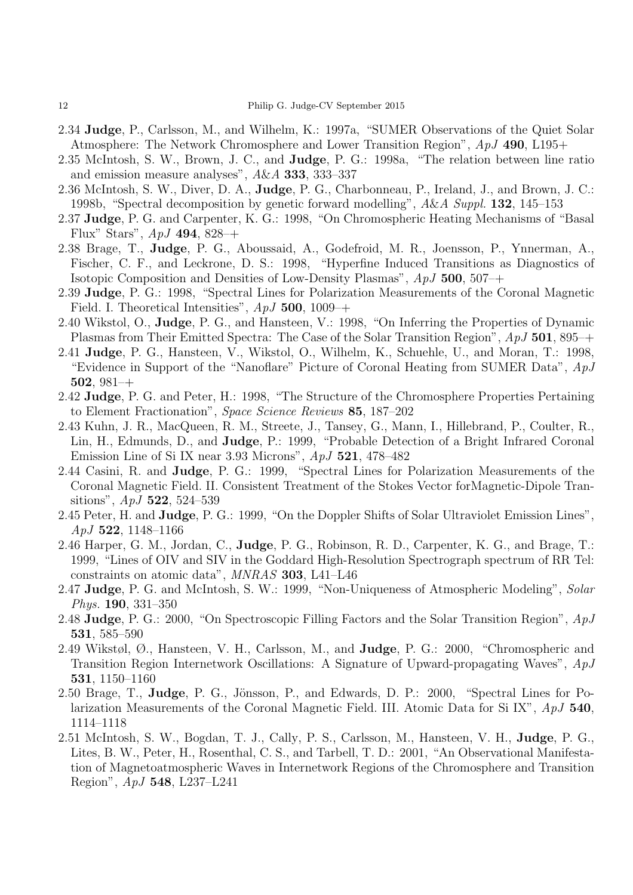- 2.34 Judge, P., Carlsson, M., and Wilhelm, K.: 1997a, "SUMER Observations of the Quiet Solar Atmosphere: The Network Chromosphere and Lower Transition Region", *ApJ* 490, L195+
- 2.35 McIntosh, S. W., Brown, J. C., and Judge, P. G.: 1998a, "The relation between line ratio and emission measure analyses", *A*&*A* 333, 333–337
- 2.36 McIntosh, S. W., Diver, D. A., Judge, P. G., Charbonneau, P., Ireland, J., and Brown, J. C.: 1998b, "Spectral decomposition by genetic forward modelling", *A*&*A Suppl.* 132, 145–153
- 2.37 Judge, P. G. and Carpenter, K. G.: 1998, "On Chromospheric Heating Mechanisms of "Basal Flux" Stars", *ApJ* 494, 828–+
- 2.38 Brage, T., Judge, P. G., Aboussaid, A., Godefroid, M. R., Joensson, P., Ynnerman, A., Fischer, C. F., and Leckrone, D. S.: 1998, "Hyperfine Induced Transitions as Diagnostics of Isotopic Composition and Densities of Low-Density Plasmas", *ApJ* 500, 507–+
- 2.39 Judge, P. G.: 1998, "Spectral Lines for Polarization Measurements of the Coronal Magnetic Field. I. Theoretical Intensities", *ApJ* 500, 1009–+
- 2.40 Wikstol, O., Judge, P. G., and Hansteen, V.: 1998, "On Inferring the Properties of Dynamic Plasmas from Their Emitted Spectra: The Case of the Solar Transition Region", *ApJ* 501, 895–+
- 2.41 Judge, P. G., Hansteen, V., Wikstol, O., Wilhelm, K., Schuehle, U., and Moran, T.: 1998, "Evidence in Support of the "Nanoflare" Picture of Coronal Heating from SUMER Data", *ApJ* 502, 981–+
- 2.42 Judge, P. G. and Peter, H.: 1998, "The Structure of the Chromosphere Properties Pertaining to Element Fractionation", *Space Science Reviews* 85, 187–202
- 2.43 Kuhn, J. R., MacQueen, R. M., Streete, J., Tansey, G., Mann, I., Hillebrand, P., Coulter, R., Lin, H., Edmunds, D., and Judge, P.: 1999, "Probable Detection of a Bright Infrared Coronal Emission Line of Si IX near 3.93 Microns", *ApJ* 521, 478–482
- 2.44 Casini, R. and Judge, P. G.: 1999, "Spectral Lines for Polarization Measurements of the Coronal Magnetic Field. II. Consistent Treatment of the Stokes Vector forMagnetic-Dipole Transitions", *ApJ* 522, 524–539
- 2.45 Peter, H. and Judge, P. G.: 1999, "On the Doppler Shifts of Solar Ultraviolet Emission Lines", *ApJ* 522, 1148–1166
- 2.46 Harper, G. M., Jordan, C., Judge, P. G., Robinson, R. D., Carpenter, K. G., and Brage, T.: 1999, "Lines of OIV and SIV in the Goddard High-Resolution Spectrograph spectrum of RR Tel: constraints on atomic data", *MNRAS* 303, L41–L46
- 2.47 Judge, P. G. and McIntosh, S. W.: 1999, "Non-Uniqueness of Atmospheric Modeling", *Solar Phys.* 190, 331–350
- 2.48 Judge, P. G.: 2000, "On Spectroscopic Filling Factors and the Solar Transition Region", *ApJ* 531, 585–590
- 2.49 Wikstøl, Ø., Hansteen, V. H., Carlsson, M., and Judge, P. G.: 2000, "Chromospheric and Transition Region Internetwork Oscillations: A Signature of Upward-propagating Waves", *ApJ* 531, 1150–1160
- 2.50 Brage, T., Judge, P. G., Jönsson, P., and Edwards, D. P.: 2000, "Spectral Lines for Polarization Measurements of the Coronal Magnetic Field. III. Atomic Data for Si IX", *ApJ* 540, 1114–1118
- 2.51 McIntosh, S. W., Bogdan, T. J., Cally, P. S., Carlsson, M., Hansteen, V. H., Judge, P. G., Lites, B. W., Peter, H., Rosenthal, C. S., and Tarbell, T. D.: 2001, "An Observational Manifestation of Magnetoatmospheric Waves in Internetwork Regions of the Chromosphere and Transition Region", *ApJ* 548, L237–L241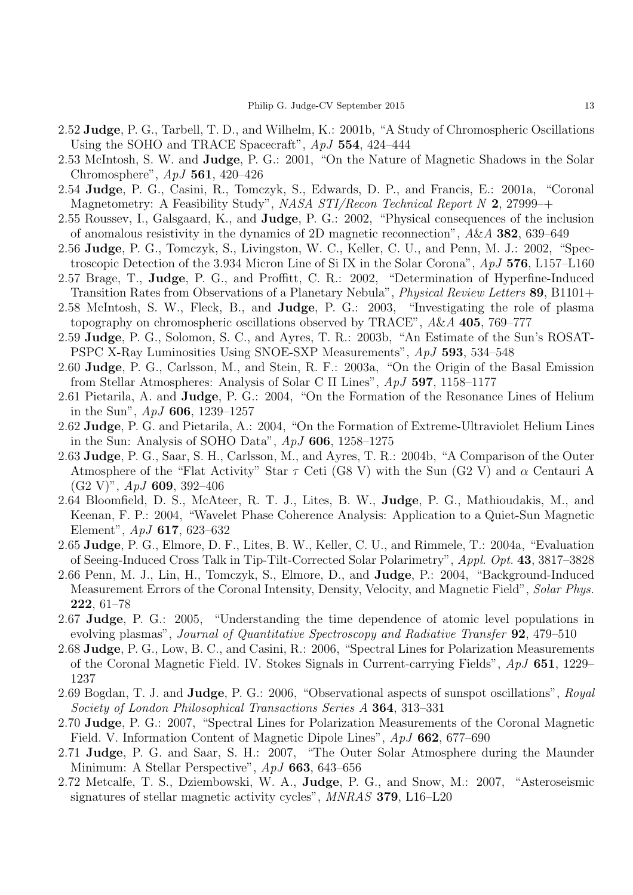- 2.52 Judge, P. G., Tarbell, T. D., and Wilhelm, K.: 2001b, "A Study of Chromospheric Oscillations Using the SOHO and TRACE Spacecraft", *ApJ* 554, 424–444
- 2.53 McIntosh, S. W. and Judge, P. G.: 2001, "On the Nature of Magnetic Shadows in the Solar Chromosphere", *ApJ* 561, 420–426
- 2.54 Judge, P. G., Casini, R., Tomczyk, S., Edwards, D. P., and Francis, E.: 2001a, "Coronal Magnetometry: A Feasibility Study", *NASA STI/Recon Technical Report N* 2, 27999–+
- 2.55 Roussev, I., Galsgaard, K., and Judge, P. G.: 2002, "Physical consequences of the inclusion of anomalous resistivity in the dynamics of 2D magnetic reconnection", *A*&*A* 382, 639–649
- 2.56 Judge, P. G., Tomczyk, S., Livingston, W. C., Keller, C. U., and Penn, M. J.: 2002, "Spectroscopic Detection of the 3.934 Micron Line of Si IX in the Solar Corona", *ApJ* 576, L157–L160
- 2.57 Brage, T., Judge, P. G., and Proffitt, C. R.: 2002, "Determination of Hyperfine-Induced Transition Rates from Observations of a Planetary Nebula", *Physical Review Letters* 89, B1101+
- 2.58 McIntosh, S. W., Fleck, B., and Judge, P. G.: 2003, "Investigating the role of plasma topography on chromospheric oscillations observed by TRACE", *A*&*A* 405, 769–777
- 2.59 Judge, P. G., Solomon, S. C., and Ayres, T. R.: 2003b, "An Estimate of the Sun's ROSAT-PSPC X-Ray Luminosities Using SNOE-SXP Measurements", *ApJ* 593, 534–548
- 2.60 Judge, P. G., Carlsson, M., and Stein, R. F.: 2003a, "On the Origin of the Basal Emission from Stellar Atmospheres: Analysis of Solar C II Lines", *ApJ* 597, 1158–1177
- 2.61 Pietarila, A. and Judge, P. G.: 2004, "On the Formation of the Resonance Lines of Helium in the Sun", *ApJ* 606, 1239–1257
- 2.62 Judge, P. G. and Pietarila, A.: 2004, "On the Formation of Extreme-Ultraviolet Helium Lines in the Sun: Analysis of SOHO Data", *ApJ* 606, 1258–1275
- 2.63 Judge, P. G., Saar, S. H., Carlsson, M., and Ayres, T. R.: 2004b, "A Comparison of the Outer Atmosphere of the "Flat Activity" Star  $\tau$  Ceti (G8 V) with the Sun (G2 V) and  $\alpha$  Centauri A (G2 V)", *ApJ* 609, 392–406
- 2.64 Bloomfield, D. S., McAteer, R. T. J., Lites, B. W., Judge, P. G., Mathioudakis, M., and Keenan, F. P.: 2004, "Wavelet Phase Coherence Analysis: Application to a Quiet-Sun Magnetic Element", *ApJ* 617, 623–632
- 2.65 Judge, P. G., Elmore, D. F., Lites, B. W., Keller, C. U., and Rimmele, T.: 2004a, "Evaluation of Seeing-Induced Cross Talk in Tip-Tilt-Corrected Solar Polarimetry", *Appl. Opt.* 43, 3817–3828
- 2.66 Penn, M. J., Lin, H., Tomczyk, S., Elmore, D., and Judge, P.: 2004, "Background-Induced Measurement Errors of the Coronal Intensity, Density, Velocity, and Magnetic Field", *Solar Phys.* 222, 61–78
- 2.67 Judge, P. G.: 2005, "Understanding the time dependence of atomic level populations in evolving plasmas", *Journal of Quantitative Spectroscopy and Radiative Transfer* 92, 479–510
- 2.68 Judge, P. G., Low, B. C., and Casini, R.: 2006, "Spectral Lines for Polarization Measurements of the Coronal Magnetic Field. IV. Stokes Signals in Current-carrying Fields", *ApJ* 651, 1229– 1237
- 2.69 Bogdan, T. J. and Judge, P. G.: 2006, "Observational aspects of sunspot oscillations", *Royal Society of London Philosophical Transactions Series A* 364, 313–331
- 2.70 Judge, P. G.: 2007, "Spectral Lines for Polarization Measurements of the Coronal Magnetic Field. V. Information Content of Magnetic Dipole Lines", *ApJ* 662, 677–690
- 2.71 Judge, P. G. and Saar, S. H.: 2007, "The Outer Solar Atmosphere during the Maunder Minimum: A Stellar Perspective", *ApJ* 663, 643–656
- 2.72 Metcalfe, T. S., Dziembowski, W. A., Judge, P. G., and Snow, M.: 2007, "Asteroseismic signatures of stellar magnetic activity cycles", *MNRAS* 379, L16–L20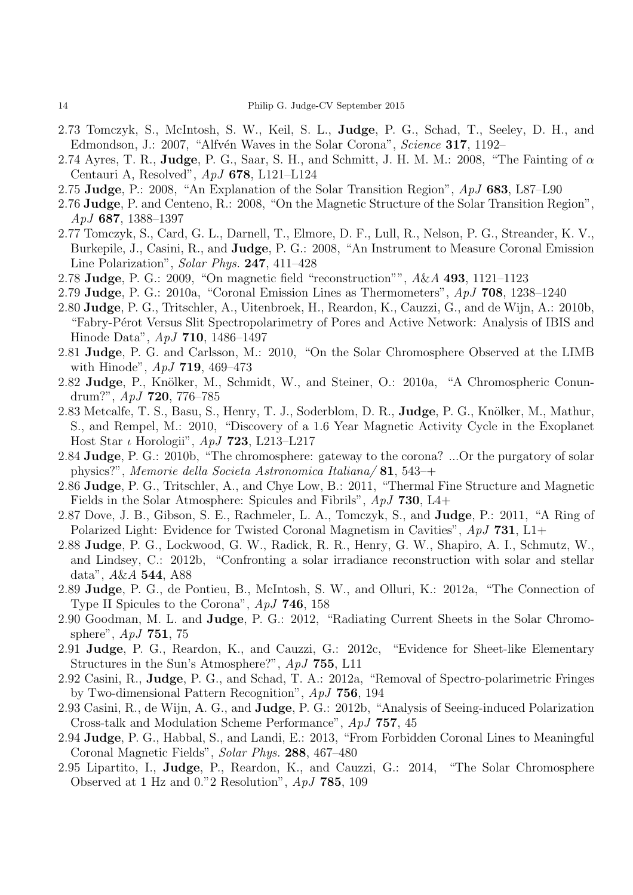- 2.73 Tomczyk, S., McIntosh, S. W., Keil, S. L., Judge, P. G., Schad, T., Seeley, D. H., and Edmondson, J.: 2007, "Alfvén Waves in the Solar Corona", *Science* **317**, 1192–
- 2.74 Ayres, T. R., Judge, P. G., Saar, S. H., and Schmitt, J. H. M. M.: 2008, "The Fainting of  $\alpha$ Centauri A, Resolved", *ApJ* 678, L121–L124
- 2.75 Judge, P.: 2008, "An Explanation of the Solar Transition Region", *ApJ* 683, L87–L90
- 2.76 Judge, P. and Centeno, R.: 2008, "On the Magnetic Structure of the Solar Transition Region", *ApJ* 687, 1388–1397
- 2.77 Tomczyk, S., Card, G. L., Darnell, T., Elmore, D. F., Lull, R., Nelson, P. G., Streander, K. V., Burkepile, J., Casini, R., and Judge, P. G.: 2008, "An Instrument to Measure Coronal Emission Line Polarization", *Solar Phys.* 247, 411–428
- 2.78 Judge, P. G.: 2009, "On magnetic field "reconstruction"", *A*&*A* 493, 1121–1123
- 2.79 Judge, P. G.: 2010a, "Coronal Emission Lines as Thermometers", *ApJ* 708, 1238–1240
- 2.80 Judge, P. G., Tritschler, A., Uitenbroek, H., Reardon, K., Cauzzi, G., and de Wijn, A.: 2010b, "Fabry-Pérot Versus Slit Spectropolarimetry of Pores and Active Network: Analysis of IBIS and Hinode Data", *ApJ* 710, 1486–1497
- 2.81 Judge, P. G. and Carlsson, M.: 2010, "On the Solar Chromosphere Observed at the LIMB with Hinode", *ApJ* 719, 469–473
- 2.82 Judge, P., Knölker, M., Schmidt, W., and Steiner, O.: 2010a, "A Chromospheric Conundrum?", *ApJ* 720, 776–785
- 2.83 Metcalfe, T. S., Basu, S., Henry, T. J., Soderblom, D. R., Judge, P. G., Knölker, M., Mathur, S., and Rempel, M.: 2010, "Discovery of a 1.6 Year Magnetic Activity Cycle in the Exoplanet Host Star ι Horologii", *ApJ* 723, L213–L217
- 2.84 Judge, P. G.: 2010b, "The chromosphere: gateway to the corona? ...Or the purgatory of solar physics?", *Memorie della Societa Astronomica Italiana/* 81, 543–+
- 2.86 Judge, P. G., Tritschler, A., and Chye Low, B.: 2011, "Thermal Fine Structure and Magnetic Fields in the Solar Atmosphere: Spicules and Fibrils", *ApJ* 730, L4+
- 2.87 Dove, J. B., Gibson, S. E., Rachmeler, L. A., Tomczyk, S., and Judge, P.: 2011, "A Ring of Polarized Light: Evidence for Twisted Coronal Magnetism in Cavities", *ApJ* 731, L1+
- 2.88 Judge, P. G., Lockwood, G. W., Radick, R. R., Henry, G. W., Shapiro, A. I., Schmutz, W., and Lindsey, C.: 2012b, "Confronting a solar irradiance reconstruction with solar and stellar data", *A*&*A* 544, A88
- 2.89 Judge, P. G., de Pontieu, B., McIntosh, S. W., and Olluri, K.: 2012a, "The Connection of Type II Spicules to the Corona", *ApJ* 746, 158
- 2.90 Goodman, M. L. and Judge, P. G.: 2012, "Radiating Current Sheets in the Solar Chromosphere", *ApJ* 751, 75
- 2.91 Judge, P. G., Reardon, K., and Cauzzi, G.: 2012c, "Evidence for Sheet-like Elementary Structures in the Sun's Atmosphere?", *ApJ* 755, L11
- 2.92 Casini, R., Judge, P. G., and Schad, T. A.: 2012a, "Removal of Spectro-polarimetric Fringes by Two-dimensional Pattern Recognition", *ApJ* 756, 194
- 2.93 Casini, R., de Wijn, A. G., and Judge, P. G.: 2012b, "Analysis of Seeing-induced Polarization Cross-talk and Modulation Scheme Performance", *ApJ* 757, 45
- 2.94 Judge, P. G., Habbal, S., and Landi, E.: 2013, "From Forbidden Coronal Lines to Meaningful Coronal Magnetic Fields", *Solar Phys.* 288, 467–480
- 2.95 Lipartito, I., Judge, P., Reardon, K., and Cauzzi, G.: 2014, "The Solar Chromosphere Observed at 1 Hz and 0."2 Resolution", *ApJ* 785, 109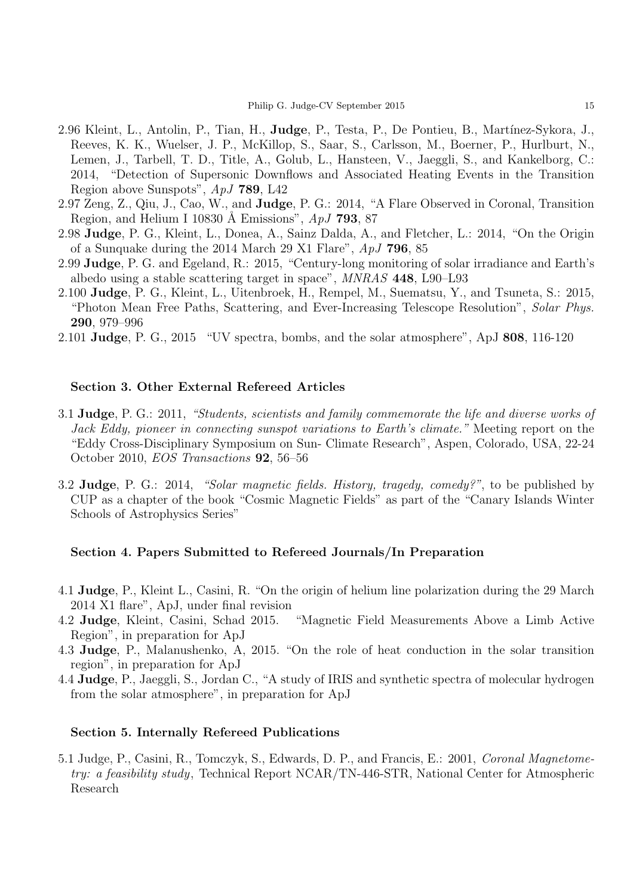- 2.96 Kleint, L., Antolin, P., Tian, H., **Judge**, P., Testa, P., De Pontieu, B., Martínez-Sykora, J., Reeves, K. K., Wuelser, J. P., McKillop, S., Saar, S., Carlsson, M., Boerner, P., Hurlburt, N., Lemen, J., Tarbell, T. D., Title, A., Golub, L., Hansteen, V., Jaeggli, S., and Kankelborg, C.: 2014, "Detection of Supersonic Downflows and Associated Heating Events in the Transition Region above Sunspots", *ApJ* 789, L42
- 2.97 Zeng, Z., Qiu, J., Cao, W., and Judge, P. G.: 2014, "A Flare Observed in Coronal, Transition Region, and Helium I 10830 Å Emissions", *ApJ* **793**, 87
- 2.98 Judge, P. G., Kleint, L., Donea, A., Sainz Dalda, A., and Fletcher, L.: 2014, "On the Origin of a Sunquake during the 2014 March 29 X1 Flare", *ApJ* 796, 85
- 2.99 Judge, P. G. and Egeland, R.: 2015, "Century-long monitoring of solar irradiance and Earth's albedo using a stable scattering target in space", *MNRAS* 448, L90–L93
- 2.100 Judge, P. G., Kleint, L., Uitenbroek, H., Rempel, M., Suematsu, Y., and Tsuneta, S.: 2015, "Photon Mean Free Paths, Scattering, and Ever-Increasing Telescope Resolution", *Solar Phys.* 290, 979–996
- 2.101 Judge, P. G., 2015 "UV spectra, bombs, and the solar atmosphere", ApJ 808, 116-120

#### Section 3. Other External Refereed Articles

- 3.1 Judge, P. G.: 2011, *"Students, scientists and family commemorate the life and diverse works of Jack Eddy, pioneer in connecting sunspot variations to Earth's climate."* Meeting report on the "Eddy Cross-Disciplinary Symposium on Sun- Climate Research", Aspen, Colorado, USA, 22-24 October 2010, *EOS Transactions* 92, 56–56
- 3.2 Judge, P. G.: 2014, *"Solar magnetic fields. History, tragedy, comedy?"*, to be published by CUP as a chapter of the book "Cosmic Magnetic Fields" as part of the "Canary Islands Winter Schools of Astrophysics Series"

#### Section 4. Papers Submitted to Refereed Journals/In Preparation

- 4.1 Judge, P., Kleint L., Casini, R. "On the origin of helium line polarization during the 29 March 2014 X1 flare", ApJ, under final revision
- 4.2 Judge, Kleint, Casini, Schad 2015. "Magnetic Field Measurements Above a Limb Active Region", in preparation for ApJ
- 4.3 Judge, P., Malanushenko, A, 2015. "On the role of heat conduction in the solar transition region", in preparation for ApJ
- 4.4 Judge, P., Jaeggli, S., Jordan C., "A study of IRIS and synthetic spectra of molecular hydrogen from the solar atmosphere", in preparation for ApJ

#### Section 5. Internally Refereed Publications

5.1 Judge, P., Casini, R., Tomczyk, S., Edwards, D. P., and Francis, E.: 2001, *Coronal Magnetometry: a feasibility study*, Technical Report NCAR/TN-446-STR, National Center for Atmospheric Research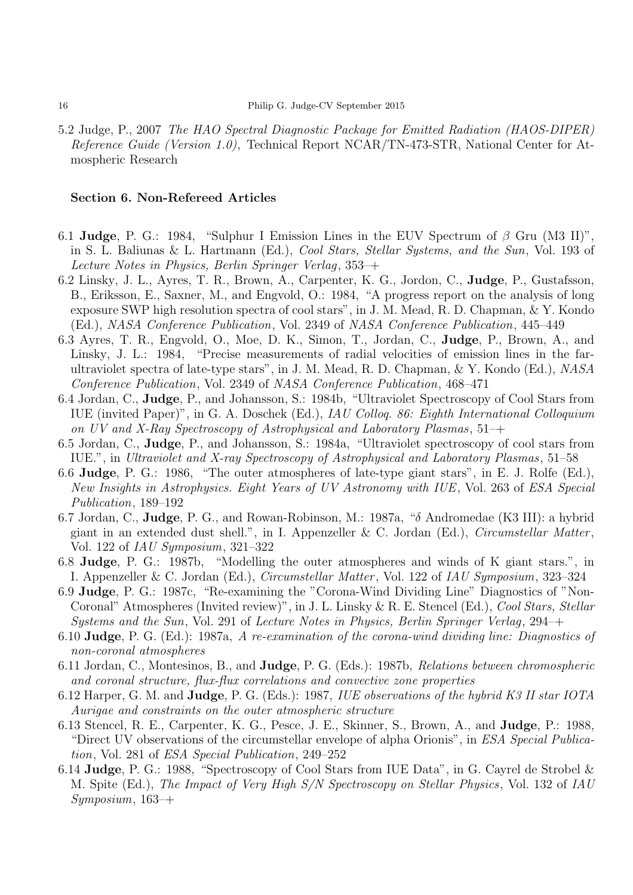5.2 Judge, P., 2007 *The HAO Spectral Diagnostic Package for Emitted Radiation (HAOS-DIPER) Reference Guide (Version 1.0)*, Technical Report NCAR/TN-473-STR, National Center for Atmospheric Research

#### Section 6. Non-Refereed Articles

- 6.1 Judge, P. G.: 1984, "Sulphur I Emission Lines in the EUV Spectrum of  $\beta$  Gru (M3 II)", in S. L. Baliunas & L. Hartmann (Ed.), *Cool Stars, Stellar Systems, and the Sun*, Vol. 193 of *Lecture Notes in Physics, Berlin Springer Verlag*, 353–+
- 6.2 Linsky, J. L., Ayres, T. R., Brown, A., Carpenter, K. G., Jordon, C., Judge, P., Gustafsson, B., Eriksson, E., Saxner, M., and Engvold, O.: 1984, "A progress report on the analysis of long exposure SWP high resolution spectra of cool stars", in J. M. Mead, R. D. Chapman, & Y. Kondo (Ed.), *NASA Conference Publication*, Vol. 2349 of *NASA Conference Publication*, 445–449
- 6.3 Ayres, T. R., Engvold, O., Moe, D. K., Simon, T., Jordan, C., Judge, P., Brown, A., and Linsky, J. L.: 1984, "Precise measurements of radial velocities of emission lines in the farultraviolet spectra of late-type stars", in J. M. Mead, R. D. Chapman, & Y. Kondo (Ed.), *NASA Conference Publication*, Vol. 2349 of *NASA Conference Publication*, 468–471
- 6.4 Jordan, C., Judge, P., and Johansson, S.: 1984b, "Ultraviolet Spectroscopy of Cool Stars from IUE (invited Paper)", in G. A. Doschek (Ed.), *IAU Colloq. 86: Eighth International Colloquium on UV and X-Ray Spectroscopy of Astrophysical and Laboratory Plasmas*, 51–+
- 6.5 Jordan, C., Judge, P., and Johansson, S.: 1984a, "Ultraviolet spectroscopy of cool stars from IUE.", in *Ultraviolet and X-ray Spectroscopy of Astrophysical and Laboratory Plasmas*, 51–58
- 6.6 Judge, P. G.: 1986, "The outer atmospheres of late-type giant stars", in E. J. Rolfe (Ed.), *New Insights in Astrophysics. Eight Years of UV Astronomy with IUE*, Vol. 263 of *ESA Special Publication*, 189–192
- 6.7 Jordan, C., Judge, P. G., and Rowan-Robinson, M.: 1987a, "δ Andromedae (K3 III): a hybrid giant in an extended dust shell.", in I. Appenzeller & C. Jordan (Ed.), *Circumstellar Matter* , Vol. 122 of *IAU Symposium*, 321–322
- 6.8 Judge, P. G.: 1987b, "Modelling the outer atmospheres and winds of K giant stars.", in I. Appenzeller & C. Jordan (Ed.), *Circumstellar Matter* , Vol. 122 of *IAU Symposium*, 323–324
- 6.9 Judge, P. G.: 1987c, "Re-examining the "Corona-Wind Dividing Line" Diagnostics of "Non-Coronal" Atmospheres (Invited review)", in J. L. Linsky & R. E. Stencel (Ed.), *Cool Stars, Stellar Systems and the Sun*, Vol. 291 of *Lecture Notes in Physics, Berlin Springer Verlag*, 294–+
- 6.10 Judge, P. G. (Ed.): 1987a, *A re-examination of the corona-wind dividing line: Diagnostics of non-coronal atmospheres*
- 6.11 Jordan, C., Montesinos, B., and Judge, P. G. (Eds.): 1987b, *Relations between chromospheric and coronal structure, flux-flux correlations and convective zone properties*
- 6.12 Harper, G. M. and Judge, P. G. (Eds.): 1987, *IUE observations of the hybrid K3 II star IOTA Aurigae and constraints on the outer atmospheric structure*
- 6.13 Stencel, R. E., Carpenter, K. G., Pesce, J. E., Skinner, S., Brown, A., and Judge, P.: 1988, "Direct UV observations of the circumstellar envelope of alpha Orionis", in *ESA Special Publication*, Vol. 281 of *ESA Special Publication*, 249–252
- 6.14 Judge, P. G.: 1988, "Spectroscopy of Cool Stars from IUE Data", in G. Cayrel de Strobel & M. Spite (Ed.), *The Impact of Very High S/N Spectroscopy on Stellar Physics*, Vol. 132 of *IAU Symposium*, 163–+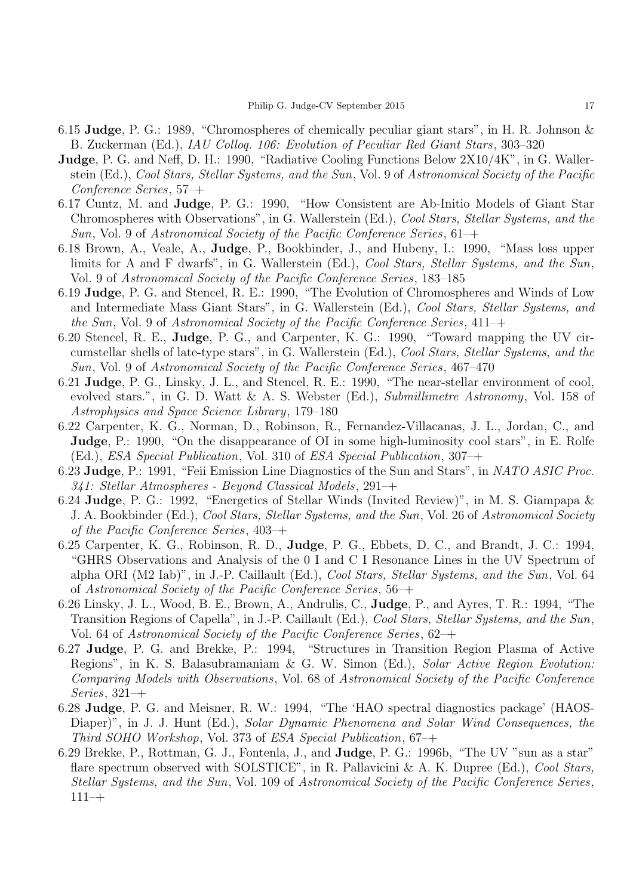- 6.15 Judge, P. G.: 1989, "Chromospheres of chemically peculiar giant stars", in H. R. Johnson & B. Zuckerman (Ed.), *IAU Colloq. 106: Evolution of Peculiar Red Giant Stars*, 303–320
- Judge, P. G. and Neff, D. H.: 1990, "Radiative Cooling Functions Below 2X10/4K", in G. Wallerstein (Ed.), *Cool Stars, Stellar Systems, and the Sun*, Vol. 9 of *Astronomical Society of the Pacific Conference Series*, 57–+
- 6.17 Cuntz, M. and Judge, P. G.: 1990, "How Consistent are Ab-Initio Models of Giant Star Chromospheres with Observations", in G. Wallerstein (Ed.), *Cool Stars, Stellar Systems, and the Sun*, Vol. 9 of *Astronomical Society of the Pacific Conference Series*, 61–+
- 6.18 Brown, A., Veale, A., Judge, P., Bookbinder, J., and Hubeny, I.: 1990, "Mass loss upper limits for A and F dwarfs", in G. Wallerstein (Ed.), *Cool Stars, Stellar Systems, and the Sun*, Vol. 9 of *Astronomical Society of the Pacific Conference Series*, 183–185
- 6.19 Judge, P. G. and Stencel, R. E.: 1990, "The Evolution of Chromospheres and Winds of Low and Intermediate Mass Giant Stars", in G. Wallerstein (Ed.), *Cool Stars, Stellar Systems, and the Sun*, Vol. 9 of *Astronomical Society of the Pacific Conference Series*, 411–+
- 6.20 Stencel, R. E., Judge, P. G., and Carpenter, K. G.: 1990, "Toward mapping the UV circumstellar shells of late-type stars", in G. Wallerstein (Ed.), *Cool Stars, Stellar Systems, and the Sun*, Vol. 9 of *Astronomical Society of the Pacific Conference Series*, 467–470
- 6.21 Judge, P. G., Linsky, J. L., and Stencel, R. E.: 1990, "The near-stellar environment of cool, evolved stars.", in G. D. Watt & A. S. Webster (Ed.), *Submillimetre Astronomy*, Vol. 158 of *Astrophysics and Space Science Library*, 179–180
- 6.22 Carpenter, K. G., Norman, D., Robinson, R., Fernandez-Villacanas, J. L., Jordan, C., and Judge, P.: 1990, "On the disappearance of OI in some high-luminosity cool stars", in E. Rolfe (Ed.), *ESA Special Publication*, Vol. 310 of *ESA Special Publication*, 307–+
- 6.23 Judge, P.: 1991, "Feii Emission Line Diagnostics of the Sun and Stars", in *NATO ASIC Proc. 341: Stellar Atmospheres - Beyond Classical Models*, 291–+
- 6.24 Judge, P. G.: 1992, "Energetics of Stellar Winds (Invited Review)", in M. S. Giampapa & J. A. Bookbinder (Ed.), *Cool Stars, Stellar Systems, and the Sun*, Vol. 26 of *Astronomical Society of the Pacific Conference Series*, 403–+
- 6.25 Carpenter, K. G., Robinson, R. D., Judge, P. G., Ebbets, D. C., and Brandt, J. C.: 1994, "GHRS Observations and Analysis of the 0 I and C I Resonance Lines in the UV Spectrum of alpha ORI (M2 Iab)", in J.-P. Caillault (Ed.), *Cool Stars, Stellar Systems, and the Sun*, Vol. 64 of *Astronomical Society of the Pacific Conference Series*, 56–+
- 6.26 Linsky, J. L., Wood, B. E., Brown, A., Andrulis, C., Judge, P., and Ayres, T. R.: 1994, "The Transition Regions of Capella", in J.-P. Caillault (Ed.), *Cool Stars, Stellar Systems, and the Sun*, Vol. 64 of *Astronomical Society of the Pacific Conference Series*, 62–+
- 6.27 Judge, P. G. and Brekke, P.: 1994, "Structures in Transition Region Plasma of Active Regions", in K. S. Balasubramaniam & G. W. Simon (Ed.), *Solar Active Region Evolution: Comparing Models with Observations*, Vol. 68 of *Astronomical Society of the Pacific Conference Series*, 321–+
- 6.28 Judge, P. G. and Meisner, R. W.: 1994, "The 'HAO spectral diagnostics package' (HAOS-Diaper)", in J. J. Hunt (Ed.), *Solar Dynamic Phenomena and Solar Wind Consequences, the Third SOHO Workshop*, Vol. 373 of *ESA Special Publication*, 67–+
- 6.29 Brekke, P., Rottman, G. J., Fontenla, J., and Judge, P. G.: 1996b, "The UV "sun as a star" flare spectrum observed with SOLSTICE", in R. Pallavicini & A. K. Dupree (Ed.), *Cool Stars, Stellar Systems, and the Sun*, Vol. 109 of *Astronomical Society of the Pacific Conference Series*,  $111-+$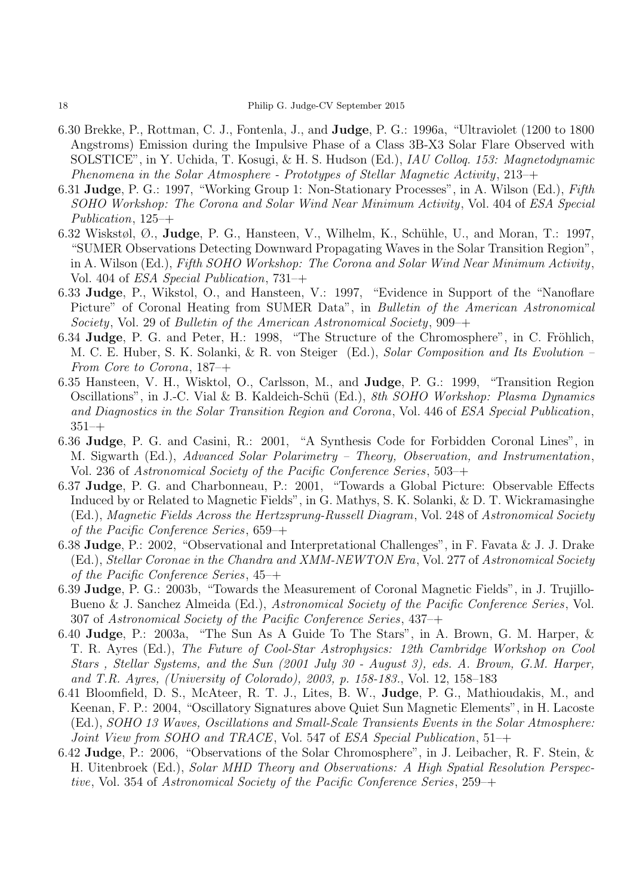- 6.30 Brekke, P., Rottman, C. J., Fontenla, J., and Judge, P. G.: 1996a, "Ultraviolet (1200 to 1800 Angstroms) Emission during the Impulsive Phase of a Class 3B-X3 Solar Flare Observed with SOLSTICE", in Y. Uchida, T. Kosugi, & H. S. Hudson (Ed.), *IAU Colloq. 153: Magnetodynamic Phenomena in the Solar Atmosphere - Prototypes of Stellar Magnetic Activity*, 213–+
- 6.31 Judge, P. G.: 1997, "Working Group 1: Non-Stationary Processes", in A. Wilson (Ed.), *Fifth SOHO Workshop: The Corona and Solar Wind Near Minimum Activity*, Vol. 404 of *ESA Special Publication*, 125–+
- 6.32 Wiskstøl,  $\emptyset$ ., **Judge**, P. G., Hansteen, V., Wilhelm, K., Schühle, U., and Moran, T.: 1997, "SUMER Observations Detecting Downward Propagating Waves in the Solar Transition Region", in A. Wilson (Ed.), *Fifth SOHO Workshop: The Corona and Solar Wind Near Minimum Activity*, Vol. 404 of *ESA Special Publication*, 731–+
- 6.33 Judge, P., Wikstol, O., and Hansteen, V.: 1997, "Evidence in Support of the "Nanoflare Picture" of Coronal Heating from SUMER Data", in *Bulletin of the American Astronomical Society*, Vol. 29 of *Bulletin of the American Astronomical Society*, 909–+
- 6.34 Judge, P. G. and Peter, H.: 1998, "The Structure of the Chromosphere", in C. Fröhlich, M. C. E. Huber, S. K. Solanki, & R. von Steiger (Ed.), *Solar Composition and Its Evolution – From Core to Corona*, 187–+
- 6.35 Hansteen, V. H., Wisktol, O., Carlsson, M., and Judge, P. G.: 1999, "Transition Region Oscillations", in J.-C. Vial & B. Kaldeich-Sch¨u (Ed.), *8th SOHO Workshop: Plasma Dynamics and Diagnostics in the Solar Transition Region and Corona*, Vol. 446 of *ESA Special Publication*, 351–+
- 6.36 Judge, P. G. and Casini, R.: 2001, "A Synthesis Code for Forbidden Coronal Lines", in M. Sigwarth (Ed.), *Advanced Solar Polarimetry – Theory, Observation, and Instrumentation*, Vol. 236 of *Astronomical Society of the Pacific Conference Series*, 503–+
- 6.37 Judge, P. G. and Charbonneau, P.: 2001, "Towards a Global Picture: Observable Effects Induced by or Related to Magnetic Fields", in G. Mathys, S. K. Solanki, & D. T. Wickramasinghe (Ed.), *Magnetic Fields Across the Hertzsprung-Russell Diagram*, Vol. 248 of *Astronomical Society of the Pacific Conference Series*, 659–+
- 6.38 Judge, P.: 2002, "Observational and Interpretational Challenges", in F. Favata & J. J. Drake (Ed.), *Stellar Coronae in the Chandra and XMM-NEWTON Era*, Vol. 277 of *Astronomical Society of the Pacific Conference Series*, 45–+
- 6.39 Judge, P. G.: 2003b, "Towards the Measurement of Coronal Magnetic Fields", in J. Trujillo-Bueno & J. Sanchez Almeida (Ed.), *Astronomical Society of the Pacific Conference Series*, Vol. 307 of *Astronomical Society of the Pacific Conference Series*, 437–+
- 6.40 Judge, P.: 2003a, "The Sun As A Guide To The Stars", in A. Brown, G. M. Harper, & T. R. Ayres (Ed.), *The Future of Cool-Star Astrophysics: 12th Cambridge Workshop on Cool Stars , Stellar Systems, and the Sun (2001 July 30 - August 3), eds. A. Brown, G.M. Harper, and T.R. Ayres, (University of Colorado), 2003, p. 158-183.*, Vol. 12, 158–183
- 6.41 Bloomfield, D. S., McAteer, R. T. J., Lites, B. W., Judge, P. G., Mathioudakis, M., and Keenan, F. P.: 2004, "Oscillatory Signatures above Quiet Sun Magnetic Elements", in H. Lacoste (Ed.), *SOHO 13 Waves, Oscillations and Small-Scale Transients Events in the Solar Atmosphere: Joint View from SOHO and TRACE*, Vol. 547 of *ESA Special Publication*, 51–+
- 6.42 Judge, P.: 2006, "Observations of the Solar Chromosphere", in J. Leibacher, R. F. Stein, & H. Uitenbroek (Ed.), *Solar MHD Theory and Observations: A High Spatial Resolution Perspective*, Vol. 354 of *Astronomical Society of the Pacific Conference Series*, 259–+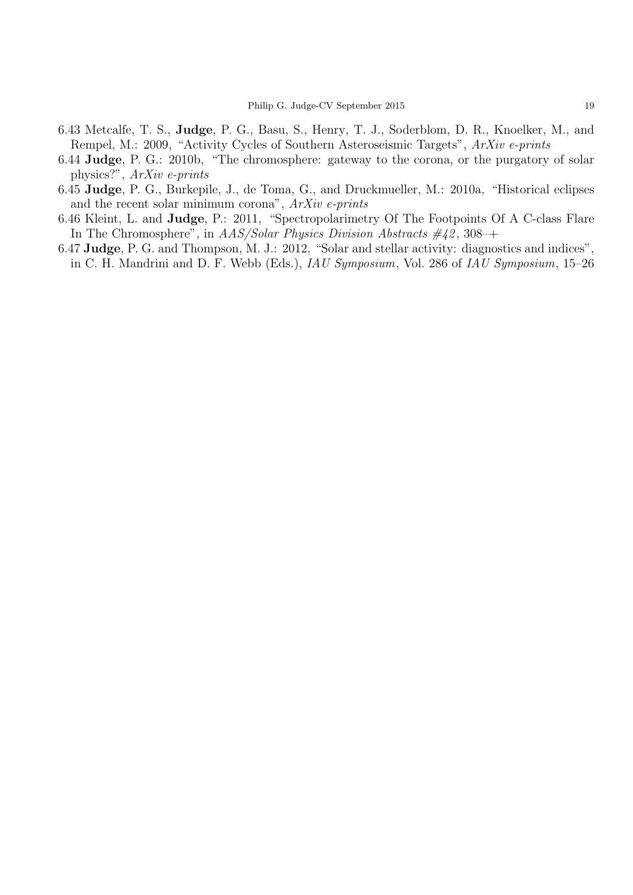- 6.43 Metcalfe, T. S., Judge, P. G., Basu, S., Henry, T. J., Soderblom, D. R., Knoelker, M., and Rempel, M.: 2009, "Activity Cycles of Southern Asteroseismic Targets", *ArXiv e-prints*
- 6.44 Judge, P. G.: 2010b, "The chromosphere: gateway to the corona, or the purgatory of solar physics?", *ArXiv e-prints*
- 6.45 Judge, P. G., Burkepile, J., de Toma, G., and Druckmueller, M.: 2010a, "Historical eclipses and the recent solar minimum corona", *ArXiv e-prints*
- 6.46 Kleint, L. and Judge, P.: 2011, "Spectropolarimetry Of The Footpoints Of A C-class Flare In The Chromosphere", in *AAS/Solar Physics Division Abstracts #42* , 308–+
- 6.47 Judge, P. G. and Thompson, M. J.: 2012, "Solar and stellar activity: diagnostics and indices", in C. H. Mandrini and D. F. Webb (Eds.), *IAU Symposium*, Vol. 286 of *IAU Symposium*, 15–26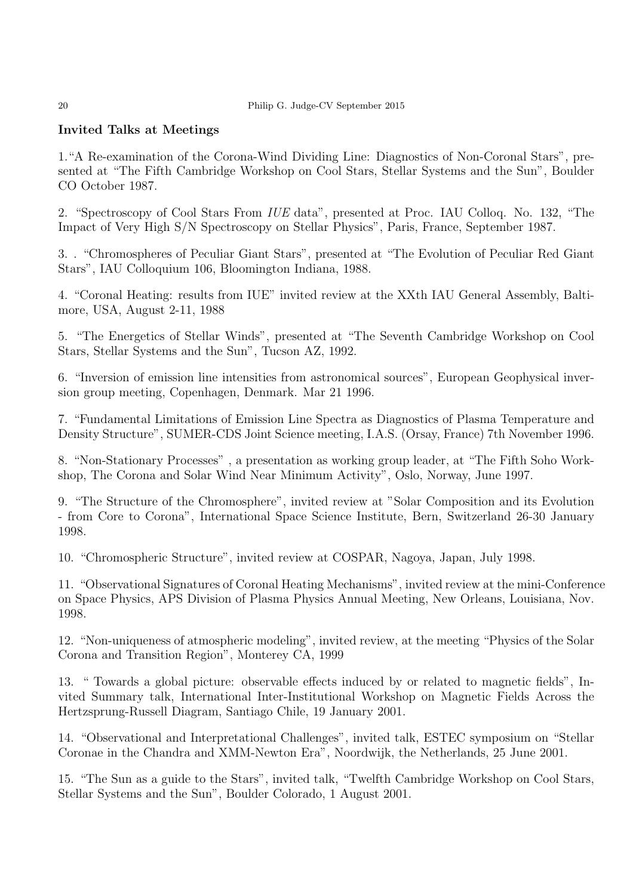#### 20 Philip G. Judge-CV September 2015

# Invited Talks at Meetings

1."A Re-examination of the Corona-Wind Dividing Line: Diagnostics of Non-Coronal Stars", presented at "The Fifth Cambridge Workshop on Cool Stars, Stellar Systems and the Sun", Boulder CO October 1987.

2. "Spectroscopy of Cool Stars From *IUE* data", presented at Proc. IAU Colloq. No. 132, "The Impact of Very High S/N Spectroscopy on Stellar Physics", Paris, France, September 1987.

3. . "Chromospheres of Peculiar Giant Stars", presented at "The Evolution of Peculiar Red Giant Stars", IAU Colloquium 106, Bloomington Indiana, 1988.

4. "Coronal Heating: results from IUE" invited review at the XXth IAU General Assembly, Baltimore, USA, August 2-11, 1988

5. "The Energetics of Stellar Winds", presented at "The Seventh Cambridge Workshop on Cool Stars, Stellar Systems and the Sun", Tucson AZ, 1992.

6. "Inversion of emission line intensities from astronomical sources", European Geophysical inversion group meeting, Copenhagen, Denmark. Mar 21 1996.

7. "Fundamental Limitations of Emission Line Spectra as Diagnostics of Plasma Temperature and Density Structure", SUMER-CDS Joint Science meeting, I.A.S. (Orsay, France) 7th November 1996.

8. "Non-Stationary Processes" , a presentation as working group leader, at "The Fifth Soho Workshop, The Corona and Solar Wind Near Minimum Activity", Oslo, Norway, June 1997.

9. "The Structure of the Chromosphere", invited review at "Solar Composition and its Evolution - from Core to Corona", International Space Science Institute, Bern, Switzerland 26-30 January 1998.

10. "Chromospheric Structure", invited review at COSPAR, Nagoya, Japan, July 1998.

11. "Observational Signatures of Coronal Heating Mechanisms", invited review at the mini-Conference on Space Physics, APS Division of Plasma Physics Annual Meeting, New Orleans, Louisiana, Nov. 1998.

12. "Non-uniqueness of atmospheric modeling", invited review, at the meeting "Physics of the Solar Corona and Transition Region", Monterey CA, 1999

13. " Towards a global picture: observable effects induced by or related to magnetic fields", Invited Summary talk, International Inter-Institutional Workshop on Magnetic Fields Across the Hertzsprung-Russell Diagram, Santiago Chile, 19 January 2001.

14. "Observational and Interpretational Challenges", invited talk, ESTEC symposium on "Stellar Coronae in the Chandra and XMM-Newton Era", Noordwijk, the Netherlands, 25 June 2001.

15. "The Sun as a guide to the Stars", invited talk, "Twelfth Cambridge Workshop on Cool Stars, Stellar Systems and the Sun", Boulder Colorado, 1 August 2001.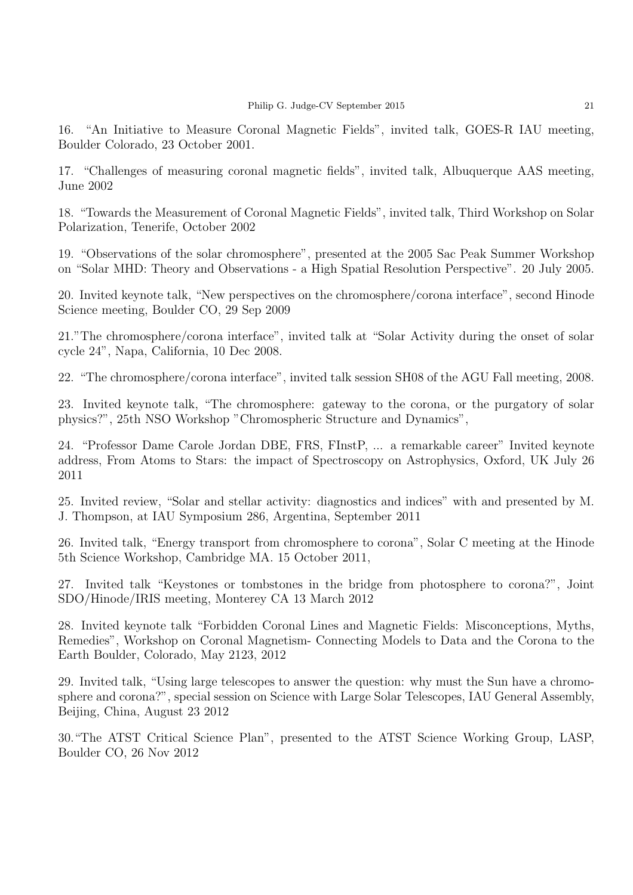16. "An Initiative to Measure Coronal Magnetic Fields", invited talk, GOES-R IAU meeting, Boulder Colorado, 23 October 2001.

17. "Challenges of measuring coronal magnetic fields", invited talk, Albuquerque AAS meeting, June 2002

18. "Towards the Measurement of Coronal Magnetic Fields", invited talk, Third Workshop on Solar Polarization, Tenerife, October 2002

19. "Observations of the solar chromosphere", presented at the 2005 Sac Peak Summer Workshop on "Solar MHD: Theory and Observations - a High Spatial Resolution Perspective". 20 July 2005.

20. Invited keynote talk, "New perspectives on the chromosphere/corona interface", second Hinode Science meeting, Boulder CO, 29 Sep 2009

21."The chromosphere/corona interface", invited talk at "Solar Activity during the onset of solar cycle 24", Napa, California, 10 Dec 2008.

22. "The chromosphere/corona interface", invited talk session SH08 of the AGU Fall meeting, 2008.

23. Invited keynote talk, "The chromosphere: gateway to the corona, or the purgatory of solar physics?", 25th NSO Workshop "Chromospheric Structure and Dynamics",

24. "Professor Dame Carole Jordan DBE, FRS, FInstP, ... a remarkable career" Invited keynote address, From Atoms to Stars: the impact of Spectroscopy on Astrophysics, Oxford, UK July 26 2011

25. Invited review, "Solar and stellar activity: diagnostics and indices" with and presented by M. J. Thompson, at IAU Symposium 286, Argentina, September 2011

26. Invited talk, "Energy transport from chromosphere to corona", Solar C meeting at the Hinode 5th Science Workshop, Cambridge MA. 15 October 2011,

27. Invited talk "Keystones or tombstones in the bridge from photosphere to corona?", Joint SDO/Hinode/IRIS meeting, Monterey CA 13 March 2012

28. Invited keynote talk "Forbidden Coronal Lines and Magnetic Fields: Misconceptions, Myths, Remedies", Workshop on Coronal Magnetism- Connecting Models to Data and the Corona to the Earth Boulder, Colorado, May 2123, 2012

29. Invited talk, "Using large telescopes to answer the question: why must the Sun have a chromosphere and corona?", special session on Science with Large Solar Telescopes, IAU General Assembly, Beijing, China, August 23 2012

30."The ATST Critical Science Plan", presented to the ATST Science Working Group, LASP, Boulder CO, 26 Nov 2012